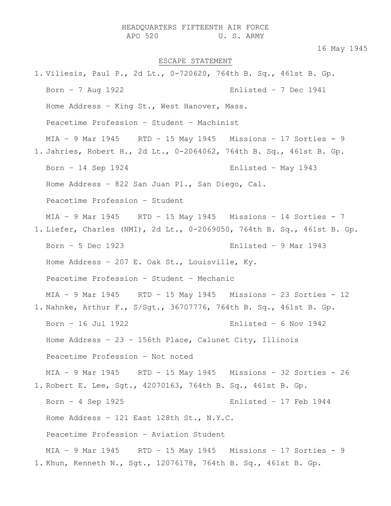## HEADQUARTERS FIFTEENTH AIR FORCE APO 520 U. S. ARMY

### 16 May 1945

#### ESCAPE STATEMENT

1. Viliesis, Paul P., 2d Lt., 0-720620, 764th B. Sq., 461st B. Gp. Born – 7 Aug 1922 Enlisted – 7 Dec 1941 Home Address – King St., West Hanover, Mass. Peacetime Profession – Student – Machinist MIA – 9 Mar 1945 RTD – 15 May 1945 Missions – 17 Sorties - 9 1. Jahries, Robert H., 2d Lt., 0-2064062, 764th B. Sq., 461st B. Gp. Born – 14 Sep 1924 Enlisted – May 1943 Home Address – 822 San Juan Pl., San Diego, Cal. Peacetime Profession – Student MIA – 9 Mar 1945 RTD – 15 May 1945 Missions – 14 Sorties - 7 1. Liefer, Charles (NMI), 2d Lt., 0-2069050, 764th B. Sq., 461st B. Gp. Born – 5 Dec 1923 Enlisted – 9 Mar 1943 Home Address – 207 E. Oak St., Louisville, Ky. Peacetime Profession – Student – Mechanic MIA – 9 Mar 1945 RTD – 15 May 1945 Missions – 23 Sorties - 12 1. Nahnke, Arthur F., S/Sgt., 36707776, 764th B. Sq., 461st B. Gp. Born – 16 Jul 1922 Enlisted – 6 Nov 1942 Home Address – 23 – 156th Place, Calunet City, Illinois Peacetime Profession – Not noted MIA – 9 Mar 1945 RTD – 15 May 1945 Missions – 32 Sorties - 26 1. Robert E. Lee, Sgt., 42070163, 764th B. Sq., 461st B. Gp. Born – 4 Sep 1925 Enlisted – 17 Feb 1944 Home Address – 121 East 128th St., N.Y.C. Peacetime Profession – Aviation Student MIA – 9 Mar 1945 RTD – 15 May 1945 Missions – 17 Sorties - 9 1. Khun, Kenneth N., Sgt., 12076178, 764th B. Sq., 461st B. Gp.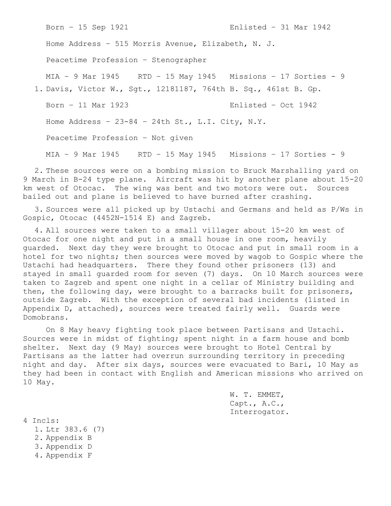Born – 15 Sep 1921 Enlisted – 31 Mar 1942 Home Address – 515 Morris Avenue, Elizabeth, N. J. Peacetime Profession – Stenographer MIA – 9 Mar 1945 RTD – 15 May 1945 Missions – 17 Sorties - 9 1. Davis, Victor W., Sgt., 12181187, 764th B. Sq., 461st B. Gp. Born – 11 Mar 1923 Enlisted – Oct 1942 Home Address - 23-84 - 24th St., L.I. City, N.Y. Peacetime Profession – Not given MIA – 9 Mar 1945 RTD – 15 May 1945 Missions – 17 Sorties - 9

2. These sources were on a bombing mission to Bruck Marshalling yard on 9 March in B-24 type plane. Aircraft was hit by another plane about 15-20 km west of Otocac. The wing was bent and two motors were out. Sources bailed out and plane is believed to have burned after crashing.

3. Sources were all picked up by Ustachi and Germans and held as P/Ws in Gospic, Otocac (4452N-1514 E) and Zagreb.

4. All sources were taken to a small villager about 15-20 km west of Otocac for one night and put in a small house in one room, heavily guarded. Next day they were brought to Otocac and put in small room in a hotel for two nights; then sources were moved by wagob to Gospic where the Ustachi had headquarters. There they found other prisoners (13) and stayed in small guarded room for seven (7) days. On 10 March sources were taken to Zagreb and spent one night in a cellar of Ministry building and then, the following day, were brought to a barracks built for prisoners, outside Zagreb. With the exception of several bad incidents (listed in Appendix D, attached), sources were treated fairly well. Guards were Domobrans.

On 8 May heavy fighting took place between Partisans and Ustachi. Sources were in midst of fighting; spent night in a farm house and bomb shelter. Next day (9 May) sources were brought to Hotel Central by Partisans as the latter had overrun surrounding territory in preceding night and day. After six days, sources were evacuated to Bari, 10 May as they had been in contact with English and American missions who arrived on 10 May.

> W. T. EMMET, Capt., A.C., Interrogator.

4 Incls:

- 1. Ltr 383.6 (7) 2. Appendix B 3. Appendix D
- 4. Appendix F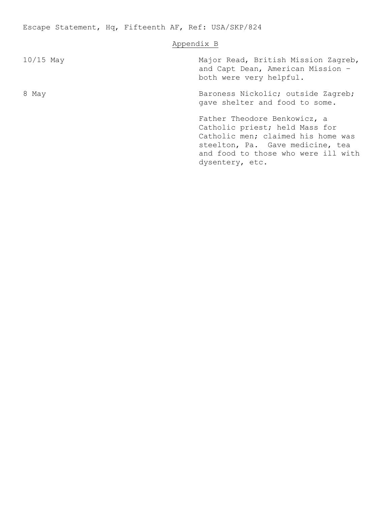## Appendix B

10/15 May **Major Read, British Mission Zagreb**, and Capt Dean, American Mission – both were very helpful. 8 May 8 May Baroness Nickolic; outside Zagreb; gave shelter and food to some. Father Theodore Benkowicz, a Catholic priest; held Mass for Catholic men; claimed his home was steelton, Pa. Gave medicine, tea and food to those who were ill with

dysentery, etc.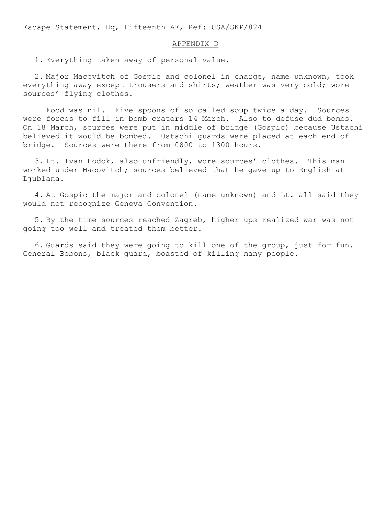Escape Statement, Hq, Fifteenth AF, Ref: USA/SKP/824

#### APPENDIX D

1. Everything taken away of personal value.

2. Major Macovitch of Gospic and colonel in charge, name unknown, took everything away except trousers and shirts; weather was very cold; wore sources' flying clothes.

Food was nil. Five spoons of so called soup twice a day. Sources were forces to fill in bomb craters 14 March. Also to defuse dud bombs. On 18 March, sources were put in middle of bridge (Gospic) because Ustachi believed it would be bombed. Ustachi guards were placed at each end of bridge. Sources were there from 0800 to 1300 hours.

3. Lt. Ivan Hodok, also unfriendly, wore sources' clothes. This man worked under Macovitch; sources believed that he gave up to English at Ljublana.

4. At Gospic the major and colonel (name unknown) and Lt. all said they would not recognize Geneva Convention.

5. By the time sources reached Zagreb, higher ups realized war was not going too well and treated them better.

6. Guards said they were going to kill one of the group, just for fun. General Bobons, black guard, boasted of killing many people.